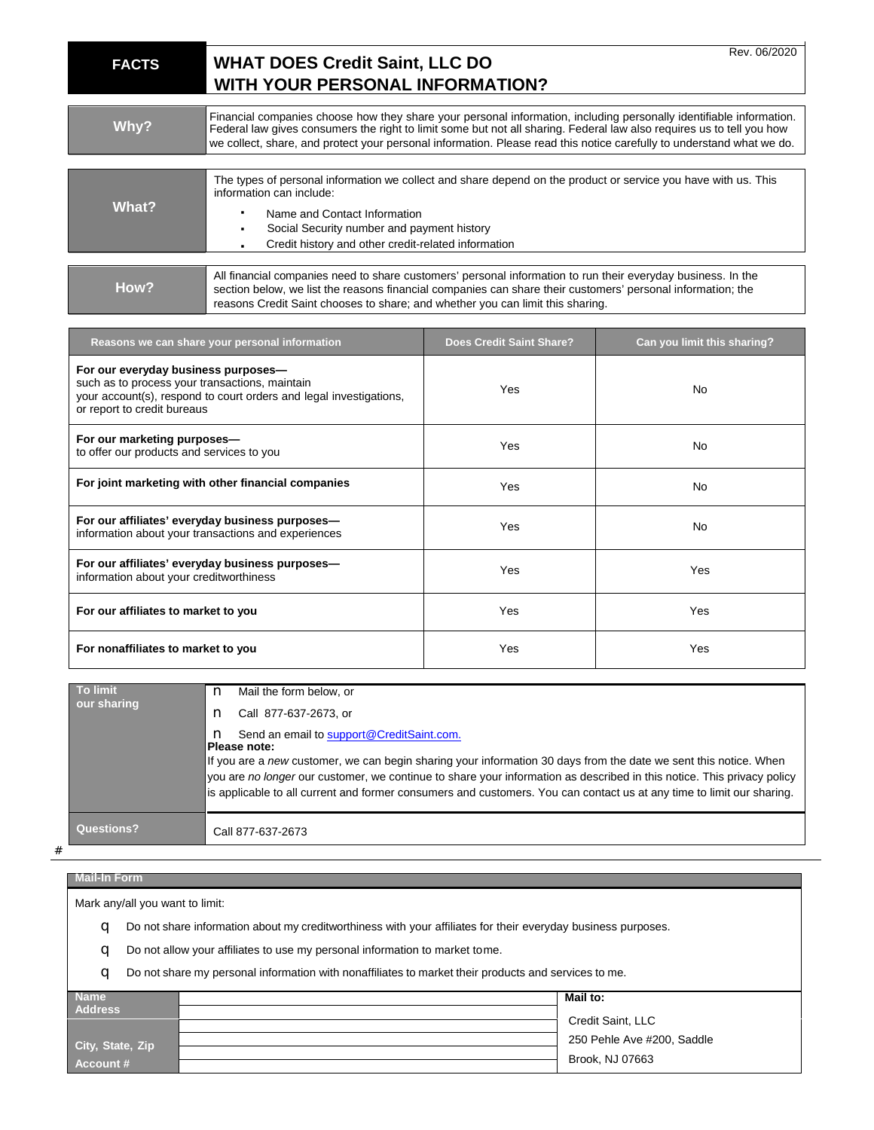| <b>FACTS</b> | Rev. 06/2020<br><b>WHAT DOES Credit Saint, LLC DO</b><br><b>WITH YOUR PERSONAL INFORMATION?</b>                                                                                                                                                                                                                                                                       |
|--------------|-----------------------------------------------------------------------------------------------------------------------------------------------------------------------------------------------------------------------------------------------------------------------------------------------------------------------------------------------------------------------|
| Why?         | Financial companies choose how they share your personal information, including personally identifiable information.<br>Federal law gives consumers the right to limit some but not all sharing. Federal law also requires us to tell you how<br>we collect, share, and protect your personal information. Please read this notice carefully to understand what we do. |
| What?        | The types of personal information we collect and share depend on the product or service you have with us. This<br>information can include:<br>Name and Contact Information<br>Social Security number and payment history<br>Credit history and other credit-related information                                                                                       |
| How?         | All financial companies need to share customers' personal information to run their everyday business. In the<br>section below, we list the reasons financial companies can share their customers' personal information; the<br>reasons Credit Saint chooses to share; and whether you can limit this sharing.                                                         |

| Reasons we can share your personal information                                                                                                                                             | <b>Does Credit Saint Share?</b> | Can you limit this sharing? |
|--------------------------------------------------------------------------------------------------------------------------------------------------------------------------------------------|---------------------------------|-----------------------------|
| For our everyday business purposes-<br>such as to process your transactions, maintain<br>your account(s), respond to court orders and legal investigations,<br>or report to credit bureaus | <b>Yes</b>                      | <b>No</b>                   |
| For our marketing purposes-<br>to offer our products and services to you                                                                                                                   | Yes                             | No                          |
| For joint marketing with other financial companies                                                                                                                                         | <b>Yes</b>                      | No                          |
| For our affiliates' everyday business purposes-<br>information about your transactions and experiences                                                                                     | Yes                             | No                          |
| For our affiliates' everyday business purposes-<br>information about your creditworthiness                                                                                                 | Yes                             | Yes                         |
| For our affiliates to market to you                                                                                                                                                        | Yes                             | Yes                         |
| For nonaffiliates to market to you                                                                                                                                                         | Yes                             | Yes                         |

| To limit<br>our sharing | Mail the form below, or<br>n<br>Call 877-637-2673, or                                                                                                                                                                                                                                                                                                                                                                                   |
|-------------------------|-----------------------------------------------------------------------------------------------------------------------------------------------------------------------------------------------------------------------------------------------------------------------------------------------------------------------------------------------------------------------------------------------------------------------------------------|
|                         | Send an email to support@CreditSaint.com.<br><b>Please note:</b><br>If you are a new customer, we can begin sharing your information 30 days from the date we sent this notice. When<br>you are no longer our customer, we continue to share your information as described in this notice. This privacy policy<br>is applicable to all current and former consumers and customers. You can contact us at any time to limit our sharing. |
| Questions?              | Call 877-637-2673                                                                                                                                                                                                                                                                                                                                                                                                                       |

**Mail-In Form**

#

Mark any/all you want to limit:

q Do not share information about my creditworthiness with your affiliates for their everyday business purposes.

q Do not allow your affiliates to use my personal information to market tome.

q Do not share my personal information with nonaffiliates to market their products and services to me.

| <b>Name</b>      | Mail to:                   |
|------------------|----------------------------|
| <b>Address</b>   | Credit Saint, LLC          |
|                  |                            |
| City, State, Zip | 250 Pehle Ave #200, Saddle |
|                  | Brook, NJ 07663            |
| Account #        |                            |